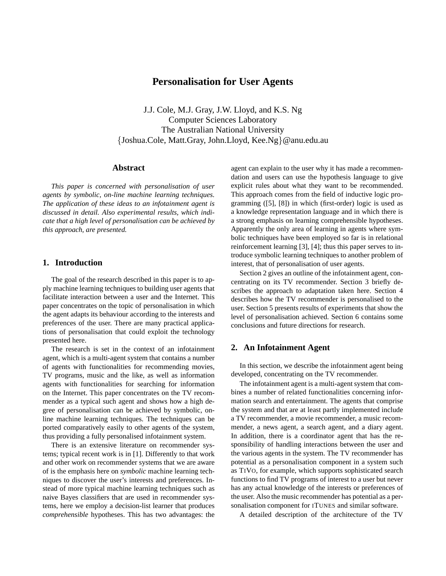# **Personalisation for User Agents**

J.J. Cole, M.J. Gray, J.W. Lloyd, and K.S. Ng Computer Sciences Laboratory The Australian National University {Joshua.Cole, Matt.Gray, John.Lloyd, Kee.Ng}@anu.edu.au

## **Abstract**

*This paper is concerned with personalisation of user agents by symbolic, on-line machine learning techniques. The application of these ideas to an infotainment agent is discussed in detail. Also experimental results, which indicate that a high level of personalisation can be achieved by this approach, are presented.*

### **1. Introduction**

The goal of the research described in this paper is to apply machine learning techniques to building user agents that facilitate interaction between a user and the Internet. This paper concentrates on the topic of personalisation in which the agent adapts its behaviour according to the interests and preferences of the user. There are many practical applications of personalisation that could exploit the technology presented here.

The research is set in the context of an infotainment agent, which is a multi-agent system that contains a number of agents with functionalities for recommending movies, TV programs, music and the like, as well as information agents with functionalities for searching for information on the Internet. This paper concentrates on the TV recommender as a typical such agent and shows how a high degree of personalisation can be achieved by symbolic, online machine learning techniques. The techniques can be ported comparatively easily to other agents of the system, thus providing a fully personalised infotainment system.

There is an extensive literature on recommender systems; typical recent work is in [1]. Differently to that work and other work on recommender systems that we are aware of is the emphasis here on *symbolic* machine learning techniques to discover the user's interests and preferences. Instead of more typical machine learning techniques such as naive Bayes classifiers that are used in recommender systems, here we employ a decision-list learner that produces *comprehensible* hypotheses. This has two advantages: the agent can explain to the user why it has made a recommendation and users can use the hypothesis language to give explicit rules about what they want to be recommended. This approach comes from the field of inductive logic programming ([5], [8]) in which (first-order) logic is used as a knowledge representation language and in which there is a strong emphasis on learning comprehensible hypotheses. Apparently the only area of learning in agents where symbolic techniques have been employed so far is in relational reinforcement learning [3], [4]; thus this paper serves to introduce symbolic learning techniques to another problem of interest, that of personalisation of user agents.

Section 2 gives an outline of the infotainment agent, concentrating on its TV recommender. Section 3 briefly describes the approach to adaptation taken here. Section 4 describes how the TV recommender is personalised to the user. Section 5 presents results of experiments that show the level of personalisation achieved. Section 6 contains some conclusions and future directions for research.

# **2. An Infotainment Agent**

In this section, we describe the infotainment agent being developed, concentrating on the TV recommender.

The infotainment agent is a multi-agent system that combines a number of related functionalities concerning information search and entertainment. The agents that comprise the system and that are at least partly implemented include a TV recommender, a movie recommender, a music recommender, a news agent, a search agent, and a diary agent. In addition, there is a coordinator agent that has the responsibility of handling interactions between the user and the various agents in the system. The TV recommender has potential as a personalisation component in a system such as TIVO, for example, which supports sophisticated search functions to find TV programs of interest to a user but never has any actual knowledge of the interests or preferences of the user. Also the music recommender has potential as a personalisation component for ITUNES and similar software.

A detailed description of the architecture of the TV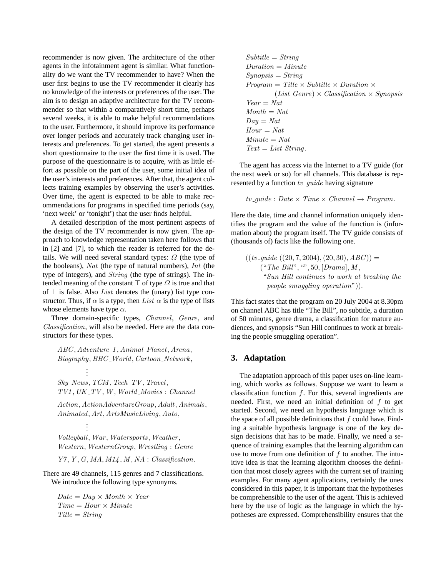recommender is now given. The architecture of the other agents in the infotainment agent is similar. What functionality do we want the TV recommender to have? When the user first begins to use the TV recommender it clearly has no knowledge of the interests or preferences of the user. The aim is to design an adaptive architecture for the TV recommender so that within a comparatively short time, perhaps several weeks, it is able to make helpful recommendations to the user. Furthermore, it should improve its performance over longer periods and accurately track changing user interests and preferences. To get started, the agent presents a short questionnaire to the user the first time it is used. The purpose of the questionnaire is to acquire, with as little effort as possible on the part of the user, some initial idea of the user's interests and preferences. After that, the agent collects training examples by observing the user's activities. Over time, the agent is expected to be able to make recommendations for programs in specified time periods (say, 'next week' or 'tonight') that the user finds helpful.

A detailed description of the most pertinent aspects of the design of the TV recommender is now given. The approach to knowledge representation taken here follows that in [2] and [7], to which the reader is referred for the details. We will need several standard types:  $\Omega$  (the type of the booleans), Nat (the type of natural numbers),  $Int$  (the type of integers), and String (the type of strings). The intended meaning of the constant  $\top$  of type  $\Omega$  is true and that of  $\perp$  is false. Also *List* denotes the (unary) list type constructor. Thus, if  $\alpha$  is a type, then List  $\alpha$  is the type of lists whose elements have type  $\alpha$ .

Three domain-specific types, *Channel*, *Genre*, and Classification, will also be needed. Here are the data constructors for these types.

ABC, Adventure<sub>-1</sub>, Animal<sub>-Planet</sub>, Arena, Biography, BBC\_World, Cartoon\_Network,

> . .

> . .

. Sky\_News, TCM, Tech\_TV, Travel,  $TV1, UK_TV, W, World_Movies: Channel$ 

Action, ActionAdventureGroup, Adult, Animals, Animated, Art, ArtsMusicLiving, Auto,

. Volleyball, War, Watersports, Weather, Western,WesternGroup,Wrestling : Genre

 $Y7, Y, G, MA, M14, M, NA: Classification.$ 

There are 49 channels, 115 genres and 7 classifications. We introduce the following type synonyms.

 $Date = Day \times Month \times Year$  $Time = Hour \times Minute$  $Title = String$ 

$$
Subtitle = String
$$
\n
$$
Duration = Minute
$$
\n
$$
Synopsis = String
$$
\n
$$
Program = Title \times Subtitle \times Duration \times
$$
\n
$$
(List \, Gener) \times Classification \times Synopsis
$$
\n
$$
Year = Nat
$$
\n
$$
Day = Nat
$$
\n
$$
Hour = Nat
$$
\n
$$
Text = List \, String.
$$

The agent has access via the Internet to a TV guide (for the next week or so) for all channels. This database is represented by a function  $tv$ -quide having signature

 $tv\_guide : Date \times Time \times Channel \rightarrow Program.$ 

Here the date, time and channel information uniquely identifies the program and the value of the function is (information about) the program itself. The TV guide consists of (thousands of) facts like the following one.

$$
((tv\_guide ((20, 7, 2004), (20, 30), ABC)) =
$$
  

$$
("The Bill", "", 50, [Drama], M,
$$
  

$$
"Sun Hill continues to work at breaking thepeople smuggling operation").
$$

This fact states that the program on 20 July 2004 at 8.30pm on channel ABC has title "The Bill", no subtitle, a duration of 50 minutes, genre drama, a classification for mature audiences, and synopsis "Sun Hill continues to work at breaking the people smuggling operation".

# **3. Adaptation**

The adaptation approach of this paper uses on-line learning, which works as follows. Suppose we want to learn a classification function f. For this, several ingredients are needed. First, we need an initial definition of  $f$  to get started. Second, we need an hypothesis language which is the space of all possible definitions that  $f$  could have. Finding a suitable hypothesis language is one of the key design decisions that has to be made. Finally, we need a sequence of training examples that the learning algorithm can use to move from one definition of  $f$  to another. The intuitive idea is that the learning algorithm chooses the definition that most closely agrees with the current set of training examples. For many agent applications, certainly the ones considered in this paper, it is important that the hypotheses be comprehensible to the user of the agent. This is achieved here by the use of logic as the language in which the hypotheses are expressed. Comprehensibility ensures that the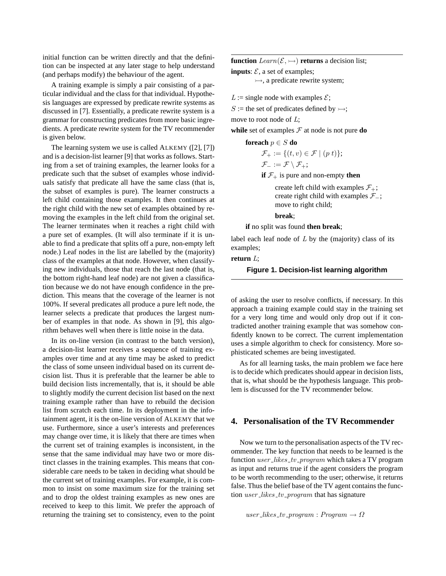initial function can be written directly and that the definition can be inspected at any later stage to help understand (and perhaps modify) the behaviour of the agent.

A training example is simply a pair consisting of a particular individual and the class for that individual. Hypothesis languages are expressed by predicate rewrite systems as discussed in [7]. Essentially, a predicate rewrite system is a grammar for constructing predicates from more basic ingredients. A predicate rewrite system for the TV recommender is given below.

The learning system we use is called ALKEMY ([2], [7]) and is a decision-list learner [9] that works as follows. Starting from a set of training examples, the learner looks for a predicate such that the subset of examples whose individuals satisfy that predicate all have the same class (that is, the subset of examples is pure). The learner constructs a left child containing those examples. It then continues at the right child with the new set of examples obtained by removing the examples in the left child from the original set. The learner terminates when it reaches a right child with a pure set of examples. (It will also terminate if it is unable to find a predicate that splits off a pure, non-empty left node.) Leaf nodes in the list are labelled by the (majority) class of the examples at that node. However, when classifying new individuals, those that reach the last node (that is, the bottom right-hand leaf node) are not given a classification because we do not have enough confidence in the prediction. This means that the coverage of the learner is not 100%. If several predicates all produce a pure left node, the learner selects a predicate that produces the largest number of examples in that node. As shown in [9], this algorithm behaves well when there is little noise in the data.

In its on-line version (in contrast to the batch version), a decision-list learner receives a sequence of training examples over time and at any time may be asked to predict the class of some unseen individual based on its current decision list. Thus it is preferable that the learner be able to build decision lists incrementally, that is, it should be able to slightly modify the current decision list based on the next training example rather than have to rebuild the decision list from scratch each time. In its deployment in the infotainment agent, it is the on-line version of ALKEMY that we use. Furthermore, since a user's interests and preferences may change over time, it is likely that there are times when the current set of training examples is inconsistent, in the sense that the same individual may have two or more distinct classes in the training examples. This means that considerable care needs to be taken in deciding what should be the current set of training examples. For example, it is common to insist on some maximum size for the training set and to drop the oldest training examples as new ones are received to keep to this limit. We prefer the approach of returning the training set to consistency, even to the point

**function** Learn( $\mathcal{E}, \rightarrow$ ) **returns** a decision list;

**inputs**:  $\mathcal{E}$ , a set of examples;  $\rightarrow$ , a predicate rewrite system;

 $L :=$  single node with examples  $\mathcal{E}$ ;

 $S :=$  the set of predicates defined by  $\rightarrow$ ;

move to root node of  $L$ ;

**while** set of examples  $F$  at node is not pure **do** 

**forecast** 
$$
p \in S
$$
 **do**  
\n
$$
\mathcal{F}_+ := \{(t, v) \in \mathcal{F} \mid (p \ t)\};
$$
\n
$$
\mathcal{F}_- := \mathcal{F} \setminus \mathcal{F}_+;
$$

**if**  $\mathcal{F}_+$  is pure and non-empty **then** 

create left child with examples  $\mathcal{F}_+$ ; create right child with examples  $\mathcal{F}_-$ ; move to right child; **break**;

**if** no split was found **then break**;

label each leaf node of  $L$  by the (majority) class of its examples;

**return** L;

#### **Figure 1. Decision-list learning algorithm**

of asking the user to resolve conflicts, if necessary. In this approach a training example could stay in the training set for a very long time and would only drop out if it contradicted another training example that was somehow confidently known to be correct. The current implementation uses a simple algorithm to check for consistency. More sophisticated schemes are being investigated.

As for all learning tasks, the main problem we face here is to decide which predicates should appear in decision lists, that is, what should be the hypothesis language. This problem is discussed for the TV recommender below.

# **4. Personalisation of the TV Recommender**

Now we turn to the personalisation aspects of the TV recommender. The key function that needs to be learned is the function user\_likes\_tv\_program which takes a TV program as input and returns true if the agent considers the program to be worth recommending to the user; otherwise, it returns false. Thus the belief base of the TV agent contains the function  $user\_likes\_tv\_program$  that has signature

```
user_likes_tv_program : Program \rightarrow \Omega
```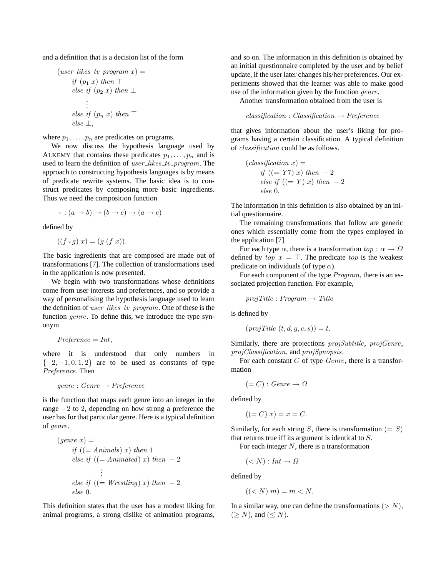and a definition that is a decision list of the form

$$
(user\_likes\_tv\_program \ x) =
$$
  
\nif (p<sub>1</sub> x) then T  
\nelse if (p<sub>2</sub> x) then  $\bot$   
\n:  
\nelse if (p<sub>n</sub> x) then T  
\nelse  $\bot$ ,

where  $p_1, \ldots, p_n$  are predicates on programs.

We now discuss the hypothesis language used by ALKEMY that contains these predicates  $p_1, \ldots, p_n$  and is used to learn the definition of user\_likes\_tv\_program. The approach to constructing hypothesis languages is by means of predicate rewrite systems. The basic idea is to construct predicates by composing more basic ingredients. Thus we need the composition function

$$
\circ : (a \to b) \to (b \to c) \to (a \to c)
$$

defined by

$$
((f \circ g) x) = (g (f x)).
$$

The basic ingredients that are composed are made out of transformations [7]. The collection of transformations used in the application is now presented.

We begin with two transformations whose definitions come from user interests and preferences, and so provide a way of personalising the hypothesis language used to learn the definition of user\_likes\_tv\_program. One of these is the function genre. To define this, we introduce the type synonym

 $Preference = Int,$ 

where it is understood that only numbers in  $\{-2, -1, 0, 1, 2\}$  are to be used as constants of type Preference. Then

$$
genre: Genre \rightarrow Preference
$$

is the function that maps each genre into an integer in the range −2 to 2, depending on how strong a preference the user has for that particular genre. Here is a typical definition of genre.

$$
(generic x) =
$$
  
\nif ((= Animals) x) then 1  
\nelse if ((= Animaled) x) then -2  
\n:  
\nelse if ((= Wrestling) x) then -2  
\nelse 0.

This definition states that the user has a modest liking for animal programs, a strong dislike of animation programs,

and so on. The information in this definition is obtained by an initial questionnaire completed by the user and by belief update, if the user later changes his/her preferences. Our experiments showed that the learner was able to make good use of the information given by the function genre.

Another transformation obtained from the user is

$$
classification: Classification \rightarrow Preference
$$

that gives information about the user's liking for programs having a certain classification. A typical definition of classification could be as follows.

$$
(classification x) =
$$
  
if ((= Y7) x) then -2  
else if ((= Y) x) then -2  
else 0.

The information in this definition is also obtained by an initial questionnaire.

The remaining transformations that follow are generic ones which essentially come from the types employed in the application [7].

For each type  $\alpha$ , there is a transformation  $top : \alpha \rightarrow \Omega$ defined by top  $x = \top$ . The predicate top is the weakest predicate on individuals (of type  $\alpha$ ).

For each component of the type *Program*, there is an associated projection function. For example,

$$
projTitle: Program \rightarrow Title
$$

is defined by

$$
(projTitle (t, d, g, c, s)) = t.
$$

Similarly, there are projections *projSubtitle*, *projGenre*, projClassification, and projSynopsis.

For each constant  $C$  of type  $\mathcal{G}$ *enre*, there is a transformation

$$
(=C): \text{Gence} \to \Omega
$$

defined by

$$
((=C) x) = x = C.
$$

Similarly, for each string S, there is transformation  $(= S)$ that returns true iff its argument is identical to S.

For each integer  $N$ , there is a transformation

$$
(
$$

defined by

$$
((< N) \; m) = m < N.
$$

In a similar way, one can define the transformations  $(> N)$ ,  $(\geq N)$ , and  $(\leq N)$ .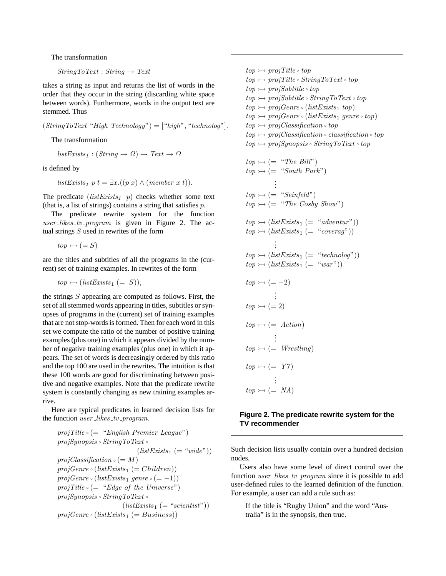The transformation

 $StringToText : String \rightarrow Text$ 

takes a string as input and returns the list of words in the order that they occur in the string (discarding white space between words). Furthermore, words in the output text are stemmed. Thus

 $(StringToText "High Technology") = ['high", "technology".$ 

The transformation

 $listExists_1 : (String \rightarrow \Omega) \rightarrow Text \rightarrow \Omega$ 

is defined by

 $listE xists_1 p t = \exists x. ((p x) \land (member x t)).$ 

The predicate  $(listE x is t_1 p)$  checks whether some text (that is, a list of strings) contains a string that satisfies  $p$ .

The predicate rewrite system for the function user likes tv program is given in Figure 2. The actual strings  $S$  used in rewrites of the form

 $top \rightarrow (= S)$ 

are the titles and subtitles of all the programs in the (current) set of training examples. In rewrites of the form

$$
top \rightarrow (listExists_1 (= S)),
$$

the strings  $S$  appearing are computed as follows. First, the set of all stemmed words appearing in titles, subtitles or synopses of programs in the (current) set of training examples that are not stop-words is formed. Then for each word in this set we compute the ratio of the number of positive training examples (plus one) in which it appears divided by the number of negative training examples (plus one) in which it appears. The set of words is decreasingly ordered by this ratio and the top 100 are used in the rewrites. The intuition is that these 100 words are good for discriminating between positive and negative examples. Note that the predicate rewrite system is constantly changing as new training examples arrive.

Here are typical predicates in learned decision lists for the function  $user_{\_}$  ikes  $_{\_}$  program.

$$
projTitle \circ (= \text{``English Premier League''})
$$
\n
$$
projSynopsis \circ StringToText \circ
$$
\n
$$
(listExists_1 (= "wide"))
$$
\n
$$
projClassifier \circ (listExists_1 (= "wide"))
$$
\n
$$
projGener \circ (listExists_1 (= Children))
$$
\n
$$
projGener \circ (listExists_1 \text{ genre } \circ (= -1))
$$
\n
$$
projTitle \circ (= \text{``Edge of the Universe''})
$$
\n
$$
projSynopsis \circ StringToText \circ
$$
\n
$$
(listExists_1 (= "scientist"))
$$
\n
$$
projGener \circ (listExists_1 (= Business))
$$

 $top \rightarrow projTitle \circ top$  $top \rightarrow projTitle \circ StringToText \circ top$  $top \rightarrow projSubtitle \circ top$  $top \rightarrow projSubtitle \circ StringToText \circ top$  $top \rightarrow projGenre \circ (listExists_1 \, top)$  $top \rightarrow projGenre \circ (listExists_1 \text{ genre} \circ top)$  $top \rightarrow projClassification \circ top$  $top \rightarrow projClassification \circ classification \circ top$  $top \rightarrow projSynopsis \circ StringToText \circ top$  $top \rightarrow (=$  "The Bill")  $top \rightarrow (=$  "South Park") . . .  $top \rightarrow (=$  "Seinfeld")  $top \rightarrow (=$  "The Cosby Show")  $top \rightarrow (listExists_1 (= "adventur"))$  $top \rightarrow (listExists_1 (= "coverag"))$ . . .  $top \rightarrow (listExists_1 (= "technolog"))$  $top \rightarrow (listExists_1 (= "war"))$  $top \rightarrow (= -2)$ . . .  $top \rightarrow (= 2)$  $top \rightarrow (= Action)$ . . .  $top \rightarrow (= \text{Wrestling})$  $top \rightarrow (= Y7)$ . . .  $top \rightarrow (= NA)$ 

## **Figure 2. The predicate rewrite system for the TV recommender**

Such decision lists usually contain over a hundred decision nodes.

Users also have some level of direct control over the function user\_likes\_tv\_program since it is possible to add user-defined rules to the learned definition of the function. For example, a user can add a rule such as:

If the title is "Rugby Union" and the word "Australia" is in the synopsis, then true.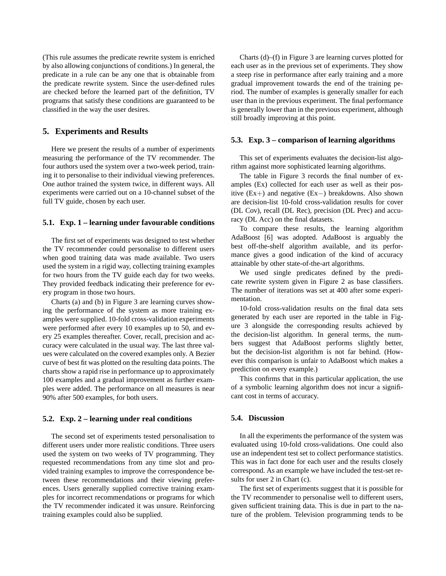(This rule assumes the predicate rewrite system is enriched by also allowing conjunctions of conditions.) In general, the predicate in a rule can be any one that is obtainable from the predicate rewrite system. Since the user-defined rules are checked before the learned part of the definition, TV programs that satisfy these conditions are guaranteed to be classified in the way the user desires.

# **5. Experiments and Results**

Here we present the results of a number of experiments measuring the performance of the TV recommender. The four authors used the system over a two-week period, training it to personalise to their individual viewing preferences. One author trained the system twice, in different ways. All experiments were carried out on a 10-channel subset of the full TV guide, chosen by each user.

#### **5.1. Exp. 1 – learning under favourable conditions**

The first set of experiments was designed to test whether the TV recommender could personalise to different users when good training data was made available. Two users used the system in a rigid way, collecting training examples for two hours from the TV guide each day for two weeks. They provided feedback indicating their preference for every program in those two hours.

Charts (a) and (b) in Figure 3 are learning curves showing the performance of the system as more training examples were supplied. 10-fold cross-validation experiments were performed after every 10 examples up to 50, and every 25 examples thereafter. Cover, recall, precision and accuracy were calculated in the usual way. The last three values were calculated on the covered examples only. A Bezier curve of best fit was plotted on the resulting data points. The charts show a rapid rise in performance up to approximately 100 examples and a gradual improvement as further examples were added. The performance on all measures is near 90% after 500 examples, for both users.

## **5.2. Exp. 2 – learning under real conditions**

The second set of experiments tested personalisation to different users under more realistic conditions. Three users used the system on two weeks of TV programming. They requested recommendations from any time slot and provided training examples to improve the correspondence between these recommendations and their viewing preferences. Users generally supplied corrective training examples for incorrect recommendations or programs for which the TV recommender indicated it was unsure. Reinforcing training examples could also be supplied.

Charts (d)–(f) in Figure 3 are learning curves plotted for each user as in the previous set of experiments. They show a steep rise in performance after early training and a more gradual improvement towards the end of the training period. The number of examples is generally smaller for each user than in the previous experiment. The final performance is generally lower than in the previous experiment, although still broadly improving at this point.

#### **5.3. Exp. 3 – comparison of learning algorithms**

This set of experiments evaluates the decision-list algorithm against more sophisticated learning algorithms.

The table in Figure 3 records the final number of examples (Ex) collected for each user as well as their positive (Ex+) and negative (Ex−) breakdowns. Also shown are decision-list 10-fold cross-validation results for cover (DL Cov), recall (DL Rec), precision (DL Prec) and accuracy (DL Acc) on the final datasets.

To compare these results, the learning algorithm AdaBoost [6] was adopted. AdaBoost is arguably the best off-the-shelf algorithm available, and its performance gives a good indication of the kind of accuracy attainable by other state-of-the-art algorithms.

We used single predicates defined by the predicate rewrite system given in Figure 2 as base classifiers. The number of iterations was set at 400 after some experimentation.

10-fold cross-validation results on the final data sets generated by each user are reported in the table in Figure 3 alongside the corresponding results achieved by the decision-list algorithm. In general terms, the numbers suggest that AdaBoost performs slightly better, but the decision-list algorithm is not far behind. (However this comparison is unfair to AdaBoost which makes a prediction on every example.)

This confirms that in this particular application, the use of a symbolic learning algorithm does not incur a significant cost in terms of accuracy.

### **5.4. Discussion**

In all the experiments the performance of the system was evaluated using 10-fold cross-validations. One could also use an independent test set to collect performance statistics. This was in fact done for each user and the results closely correspond. As an example we have included the test-set results for user 2 in Chart (c).

The first set of experiments suggest that it is possible for the TV recommender to personalise well to different users, given sufficient training data. This is due in part to the nature of the problem. Television programming tends to be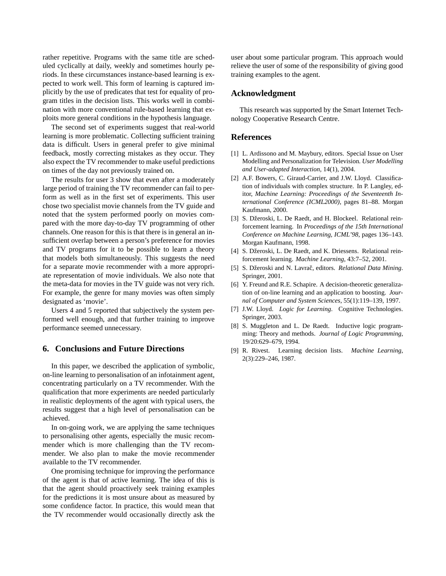rather repetitive. Programs with the same title are scheduled cyclically at daily, weekly and sometimes hourly periods. In these circumstances instance-based learning is expected to work well. This form of learning is captured implicitly by the use of predicates that test for equality of program titles in the decision lists. This works well in combination with more conventional rule-based learning that exploits more general conditions in the hypothesis language.

The second set of experiments suggest that real-world learning is more problematic. Collecting sufficient training data is difficult. Users in general prefer to give minimal feedback, mostly correcting mistakes as they occur. They also expect the TV recommender to make useful predictions on times of the day not previously trained on.

The results for user 3 show that even after a moderately large period of training the TV recommender can fail to perform as well as in the first set of experiments. This user chose two specialist movie channels from the TV guide and noted that the system performed poorly on movies compared with the more day-to-day TV programming of other channels. One reason for this is that there is in general an insufficient overlap between a person's preference for movies and TV programs for it to be possible to learn a theory that models both simultaneously. This suggests the need for a separate movie recommender with a more appropriate representation of movie individuals. We also note that the meta-data for movies in the TV guide was not very rich. For example, the genre for many movies was often simply designated as 'movie'.

Users 4 and 5 reported that subjectively the system performed well enough, and that further training to improve performance seemed unnecessary.

#### **6. Conclusions and Future Directions**

In this paper, we described the application of symbolic, on-line learning to personalisation of an infotainment agent, concentrating particularly on a TV recommender. With the qualification that more experiments are needed particularly in realistic deployments of the agent with typical users, the results suggest that a high level of personalisation can be achieved.

In on-going work, we are applying the same techniques to personalising other agents, especially the music recommender which is more challenging than the TV recommender. We also plan to make the movie recommender available to the TV recommender.

One promising technique for improving the performance of the agent is that of active learning. The idea of this is that the agent should proactively seek training examples for the predictions it is most unsure about as measured by some confidence factor. In practice, this would mean that the TV recommender would occasionally directly ask the

user about some particular program. This approach would relieve the user of some of the responsibility of giving good training examples to the agent.

# **Acknowledgment**

This research was supported by the Smart Internet Technology Cooperative Research Centre.

### **References**

- [1] L. Ardissono and M. Maybury, editors. Special Issue on User Modelling and Personalization for Television*. User Modelling and User-adapted Interaction,* 14(1), 2004.
- [2] A.F. Bowers, C. Giraud-Carrier, and J.W. Lloyd. Classification of individuals with complex structure. In P. Langley, editor, *Machine Learning: Proceedings of the Seventeenth International Conference (ICML2000)*, pages 81–88. Morgan Kaufmann, 2000.
- [3] S. Džeroski, L. De Raedt, and H. Blockeel. Relational reinforcement learning. In *Proceedings of the 15th International Conference on Machine Learning, ICML'98*, pages 136–143. Morgan Kaufmann, 1998.
- [4] S. Džeroski, L. De Raedt, and K. Driessens. Relational reinforcement learning. *Machine Learning*, 43:7–52, 2001.
- [5] S. Džeroski and N. Lavrač, editors. *Relational Data Mining*. Springer, 2001.
- [6] Y. Freund and R.E. Schapire. A decision-theoretic generalization of on-line learning and an application to boosting. *Journal of Computer and System Sciences*, 55(1):119–139, 1997.
- [7] J.W. Lloyd. *Logic for Learning*. Cognitive Technologies. Springer, 2003.
- [8] S. Muggleton and L. De Raedt. Inductive logic programming: Theory and methods. *Journal of Logic Programming*, 19/20:629–679, 1994.
- [9] R. Rivest. Learning decision lists. *Machine Learning*, 2(3):229–246, 1987.